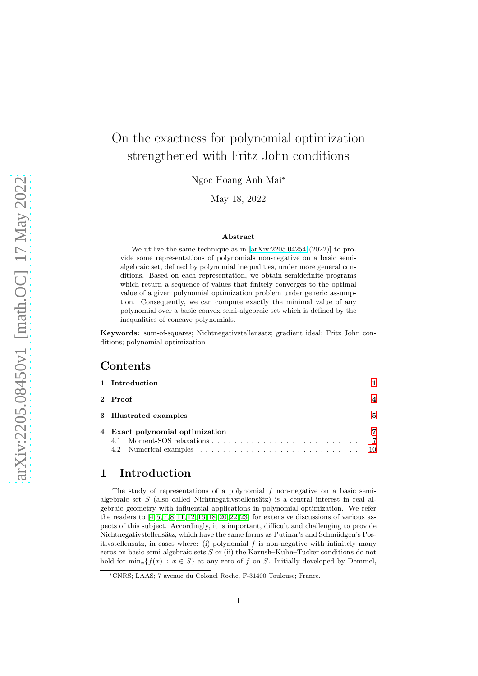# On the exactness for polynomial optimization strengthened with Fritz John conditions

Ngoc Hoang Anh Mai<sup>∗</sup>

May 18, 2022

#### Abstract

We utilize the same technique as in [\[arXiv:2205.04254](http://arxiv.org/abs/2205.04254) (2022)] to provide some representations of polynomials non-negative on a basic semialgebraic set, defined by polynomial inequalities, under more general conditions. Based on each representation, we obtain semidefinite programs which return a sequence of values that finitely converges to the optimal value of a given polynomial optimization problem under generic assumption. Consequently, we can compute exactly the minimal value of any polynomial over a basic convex semi-algebraic set which is defined by the inequalities of concave polynomials.

Keywords: sum-of-squares; Nichtnegativstellensatz; gradient ideal; Fritz John conditions; polynomial optimization

#### Contents

| 1 Introduction                  |                            |  |  |
|---------------------------------|----------------------------|--|--|
| 2 Proof                         |                            |  |  |
| 3 Illustrated examples          |                            |  |  |
| 4 Exact polynomial optimization | 7<br>$\overline{7}$<br>-10 |  |  |

## <span id="page-0-0"></span>1 Introduction

The study of representations of a polynomial  $f$  non-negative on a basic semialgebraic set S (also called Nichtnegativstellensätz) is a central interest in real algebraic geometry with influential applications in polynomial optimization. We refer the readers to  $[4, 5, 7, 8, 11, 12, 16, 18–20, 22, 23]$  $[4, 5, 7, 8, 11, 12, 16, 18–20, 22, 23]$  $[4, 5, 7, 8, 11, 12, 16, 18–20, 22, 23]$  $[4, 5, 7, 8, 11, 12, 16, 18–20, 22, 23]$  $[4, 5, 7, 8, 11, 12, 16, 18–20, 22, 23]$  $[4, 5, 7, 8, 11, 12, 16, 18–20, 22, 23]$  $[4, 5, 7, 8, 11, 12, 16, 18–20, 22, 23]$  $[4, 5, 7, 8, 11, 12, 16, 18–20, 22, 23]$  $[4, 5, 7, 8, 11, 12, 16, 18–20, 22, 23]$  $[4, 5, 7, 8, 11, 12, 16, 18–20, 22, 23]$  $[4, 5, 7, 8, 11, 12, 16, 18–20, 22, 23]$  for extensive discussions of various aspects of this subject. Accordingly, it is important, difficult and challenging to provide Nichtnegativstellensätz, which have the same forms as Putinar's and Schmüdgen's Positivstellensatz, in cases where: (i) polynomial  $f$  is non-negative with infinitely many zeros on basic semi-algebraic sets  $S$  or (ii) the Karush–Kuhn–Tucker conditions do not hold for  $\min_x \{f(x) : x \in S\}$  at any zero of f on S. Initially developed by Demmel,

<sup>∗</sup>CNRS; LAAS; 7 avenue du Colonel Roche, F-31400 Toulouse; France.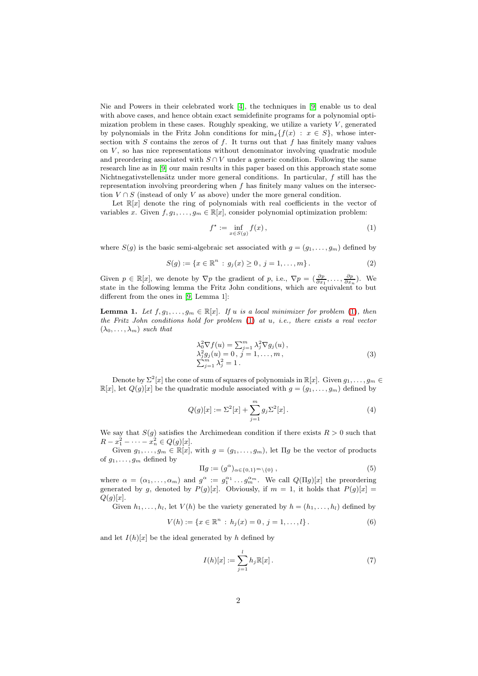Nie and Powers in their celebrated work [\[4\]](#page-10-0), the techniques in [\[9\]](#page-10-6) enable us to deal with above cases, and hence obtain exact semidefinite programs for a polynomial optimization problem in these cases. Roughly speaking, we utilize a variety  $V$ , generated by polynomials in the Fritz John conditions for  $\min_x \{f(x) : x \in S\}$ , whose intersection with  $S$  contains the zeros of  $f$ . It turns out that  $f$  has finitely many values on  $V$ , so has nice representations without denominator involving quadratic module and preordering associated with  $S \cap V$  under a generic condition. Following the same research line as in [\[9\]](#page-10-6) our main results in this paper based on this approach state some Nichtnegativstellensätz under more general conditions. In particular,  $f$  still has the representation involving preordering when f has finitely many values on the intersection  $V \cap S$  (instead of only V as above) under the more general condition.

Let  $\mathbb{R}[x]$  denote the ring of polynomials with real coefficients in the vector of variables x. Given  $f, g_1, \ldots, g_m \in \mathbb{R}[x]$ , consider polynomial optimization problem:

<span id="page-1-0"></span>
$$
f^* := \inf_{x \in S(g)} f(x),\tag{1}
$$

where  $S(g)$  is the basic semi-algebraic set associated with  $g = (g_1, \ldots, g_m)$  defined by

$$
S(g) := \{ x \in \mathbb{R}^n : g_j(x) \ge 0, j = 1, ..., m \}.
$$
 (2)

Given  $p \in \mathbb{R}[x]$ , we denote by  $\nabla p$  the gradient of p, i.e.,  $\nabla p = (\frac{\partial p}{\partial x_1}, \dots, \frac{\partial p}{\partial x_n})$ . We state in the following lemma the Fritz John conditions, which are equivalent to but different from the ones in [\[9,](#page-10-6) Lemma 1]:

<span id="page-1-1"></span>**Lemma 1.** Let  $f, g_1, \ldots, g_m \in \mathbb{R}[x]$ . If u is a local minimizer for problem [\(1\)](#page-1-0), then the Fritz John conditions hold for problem  $(1)$  at u, i.e., there exists a real vector  $(\lambda_0, \ldots, \lambda_m)$  such that

$$
\lambda_0^2 \nabla f(u) = \sum_{j=1}^m \lambda_j^2 \nabla g_j(u),
$$
  
\n
$$
\lambda_j^2 g_j(u) = 0, j = 1, ..., m,
$$
  
\n
$$
\sum_{j=1}^m \lambda_j^2 = 1.
$$
\n(3)

Denote by  $\Sigma^2[x]$  the cone of sum of squares of polynomials in  $\mathbb{R}[x]$ . Given  $g_1, \ldots, g_m \in$  $\mathbb{R}[x]$ , let  $Q(g)[x]$  be the quadratic module associated with  $g = (g_1, \ldots, g_m)$  defined by

$$
Q(g)[x] := \Sigma^{2}[x] + \sum_{j=1}^{m} g_{j} \Sigma^{2}[x].
$$
\n(4)

We say that  $S(g)$  satisfies the Archimedean condition if there exists  $R > 0$  such that  $R - x_1^2 - \cdots - x_n^2 \in Q(g)[x].$ 

Given  $g_1, \ldots, g_m \in \mathbb{R}[x]$ , with  $g = (g_1, \ldots, g_m)$ , let  $\Pi g$  be the vector of products of  $g_1, \ldots, g_m$  defined by

<span id="page-1-2"></span>
$$
\Pi g := (g^{\alpha})_{\alpha \in \{0,1\}^m \setminus \{0\}},\tag{5}
$$

where  $\alpha = (\alpha_1, \ldots, \alpha_m)$  and  $g^{\alpha} := g_1^{\alpha_1} \ldots g_m^{\alpha_m}$ . We call  $Q(\Pi g)[x]$  the preordering generated by g, denoted by  $P(g)[x]$ . Obviously, if  $m = 1$ , it holds that  $P(g)[x] =$  $Q(g)[x]$ .

Given  $h_1, \ldots, h_l$ , let  $V(h)$  be the variety generated by  $h = (h_1, \ldots, h_l)$  defined by

$$
V(h) := \{x \in \mathbb{R}^n : h_j(x) = 0, j = 1, ..., l\}.
$$
 (6)

and let  $I(h)[x]$  be the ideal generated by h defined by

$$
I(h)[x] := \sum_{j=1}^{l} h_j \mathbb{R}[x].
$$
 (7)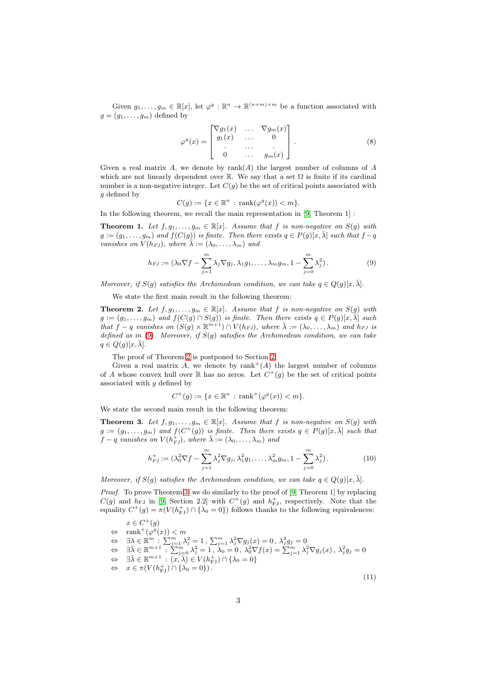Given  $g_1, \ldots, g_m \in \mathbb{R}[x]$ , let  $\varphi^g : \mathbb{R}^n \to \mathbb{R}^{(n+m)\times m}$  be a function associated with  $g = (g_1, \ldots, g_m)$  defined by

$$
\varphi^g(x) = \begin{bmatrix} \nabla g_1(x) & \dots & \nabla g_m(x) \\ g_1(x) & \dots & 0 \\ \vdots & \dots & \vdots \\ 0 & \dots & g_m(x) \end{bmatrix} . \tag{8}
$$

Given a real matrix A, we denote by  $rank(A)$  the largest number of columns of A which are not linearly dependent over R. We say that a set  $\Omega$  is finite if its cardinal number is a non-negative integer. Let  $C(g)$  be the set of critical points associated with g defined by

<span id="page-2-0"></span>
$$
C(g) := \{ x \in \mathbb{R}^n : \operatorname{rank}(\varphi^g(x)) < m \}.
$$

In the following theorem, we recall the main representation in [\[9,](#page-10-6) Theorem 1] :

<span id="page-2-5"></span>**Theorem 1.** Let  $f, g_1, \ldots, g_m \in \mathbb{R}[x]$ . Assume that f is non-negative on  $S(g)$  with  $g := (g_1, \ldots, g_m)$  and  $f(C(g))$  is finite. Then there exists  $q \in P(g)[x, \overline{\lambda}]$  such that  $f - q$ vanishes on  $V(h_{FJ})$ , where  $\widetilde{\lambda}:=(\lambda_0,\ldots,\lambda_m)$  and

$$
h_{FJ} := (\lambda_0 \nabla f - \sum_{j=1}^m \lambda_j \nabla g_j, \lambda_1 g_1, \dots, \lambda_m g_m, 1 - \sum_{j=0}^m \lambda_j^2).
$$
 (9)

Moreover, if  $S(g)$  satisfies the Archimedean condition, we can take  $q \in Q(g)[x, \overline{\lambda}]$ .

We state the first main result in the following theorem:

<span id="page-2-1"></span>**Theorem 2.** Let  $f, g_1, \ldots, g_m \in \mathbb{R}[x]$ . Assume that f is non-negative on  $S(g)$  with  $g := (g_1, \ldots, g_m)$  and  $f(C(g) \cap S(g))$  is finite. Then there exists  $q \in P(g)[x, \overline{\lambda}]$  such that  $f - q$  vanishes on  $(S(g) \times \mathbb{R}^{m+1}) \cap V(h_{FJ})$ , where  $\bar{\lambda} := (\lambda_0, \dots, \lambda_m)$  and  $h_{FJ}$  is defined as in [\(9\)](#page-2-0). Moreover, if  $S(q)$  satisfies the Archimedean condition, we can take  $q \in Q(g)[x, \bar{\lambda}].$ 

The proof of Theorem [2](#page-2-1) is postponed to Section [2.](#page-3-0)

Given a real matrix A, we denote by  $\text{rank}^+(A)$  the largest number of columns of A whose convex hull over  $\mathbb R$  has no zeros. Let  $C^+(g)$  be the set of critical points associated with  $q$  defined by

<span id="page-2-3"></span>
$$
C^+(g) := \{ x \in \mathbb{R}^n : \text{rank}^+(\varphi^g(x)) < m \}.
$$

We state the second main result in the following theorem:

<span id="page-2-2"></span>**Theorem 3.** Let  $f, g_1, \ldots, g_m \in \mathbb{R}[x]$ . Assume that f is non-negative on  $S(g)$  with  $g := (g_1, \ldots, g_m)$  and  $f(C^+(g))$  is finite. Then there exists  $q \in P(g)[x, \overline{\lambda}]$  such that  $f - q$  vanishes on  $V(h_{FJ}^+)$ , where  $\bar{\lambda} := (\lambda_0, \dots, \lambda_m)$  and

$$
h_{FJ}^+ := (\lambda_0^2 \nabla f - \sum_{j=1}^m \lambda_j^2 \nabla g_j, \lambda_1^2 g_1, \dots, \lambda_m^2 g_m, 1 - \sum_{j=0}^m \lambda_j^2).
$$
 (10)

Moreover, if  $S(q)$  satisfies the Archimedean condition, we can take  $q \in Q(q)[x,\overline{\lambda}]$ .

Proof. To prove Theorem [3,](#page-2-2) we do similarly to the proof of [\[9,](#page-10-6) Theorem 1] by replacing  $C(g)$  and  $h_{FJ}$  in [\[9,](#page-10-6) Section 2.2] with  $C^+(g)$  and  $h_{FJ}^+$ , respectively. Note that the equality  $C^+(g) = \pi(V(h_{\text{FJ}}^+) \cap {\lambda_0 = 0})$  follows thanks to the following equivalences:

 $x \in C^+(g)$  $\Leftrightarrow$  rank<sup>+</sup>( $\varphi^g(x)$ ) < m  $\Leftrightarrow$   $\exists \lambda \in \mathbb{R}^m : \sum_{j=1}^m \lambda_j^2 = 1, \sum_{j=1}^m \lambda_j^2 \nabla g_j(x) = 0, \lambda_j^2 g_j = 0$  $\Leftrightarrow$   $\exists \bar{\lambda} \in \mathbb{R}^{m+1} : \sum_{j=0}^{m} \lambda_j^2 = 1, \lambda_0 = 0, \lambda_0^2 \nabla f(x) = \sum_{j=1}^{m} \lambda_j^2 \nabla g_j(x), \lambda_j^2 g_j = 0$  $\Leftrightarrow \quad \exists \bar{\lambda} \in \mathbb{R}^{m+1} : (x, \bar{\lambda}) \in V(h_{\mathrm{FJ}}^{+}) \cap \{\lambda_{0} = 0\}$  $\Leftrightarrow x \in \pi(V(h_{\text{FJ}}^+) \cap {\lambda_0 = 0}).$ 

<span id="page-2-4"></span>(11)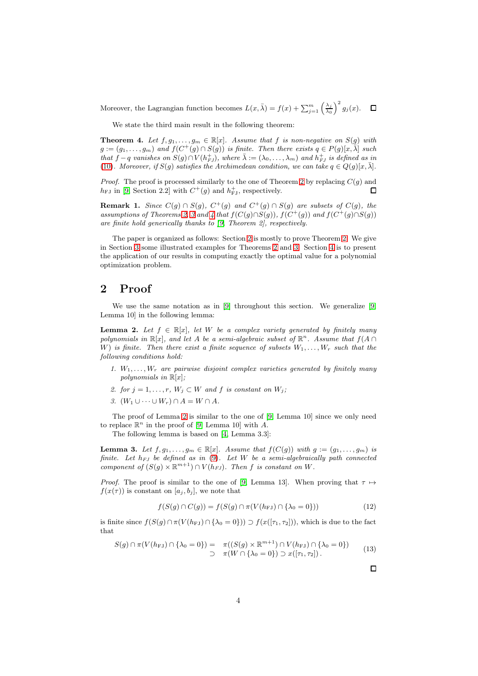Moreover, the Lagrangian function becomes  $L(x, \bar{\lambda}) = f(x) + \sum_{j=1}^{m} \left(\frac{\lambda_j}{\lambda_0}\right)^2 g_j(x)$ .

We state the third main result in the following theorem:

<span id="page-3-1"></span>**Theorem 4.** Let  $f, g_1, \ldots, g_m \in \mathbb{R}[x]$ . Assume that f is non-negative on  $S(g)$  with  $g := (g_1, \ldots, g_m)$  and  $f(C^+(g) \cap S(g))$  is finite. Then there exists  $q \in P(g)[x, \overline{\lambda}]$  such that  $f - q$  vanishes on  $S(g) \cap V(h_{FJ}^+),$  where  $\bar{\lambda} := (\lambda_0, \ldots, \lambda_m)$  and  $h_{FJ}^+$  is defined as in [\(10\)](#page-2-3). Moreover, if  $S(g)$  satisfies the Archimedean condition, we can take  $q \in Q(g)[x, \overline{\lambda}]$ .

*Proof.* The proof is processed similarly to the one of Theorem [2](#page-2-1) by replacing  $C(g)$  and  $h_{\text{FJ}}$  in [\[9,](#page-10-6) Section 2.2] with  $C^+(g)$  and  $h_{\text{FJ}}^+$ , respectively. П

**Remark 1.** Since  $C(g) \cap S(g)$ ,  $C^+(g)$  and  $C^+(g) \cap S(g)$  are subsets of  $C(g)$ , the assumptions of Theorems [2,](#page-2-1) [3](#page-2-2) and [4](#page-3-1) that  $f(C(g) \cap S(g))$ ,  $f(C^+(g))$  and  $f(C^+(g) \cap S(g))$ are finite hold generically thanks to [\[9,](#page-10-6) Theorem 2], respectively.

The paper is organized as follows: Section [2](#page-3-0) is mostly to prove Theorem [2.](#page-2-1) We give in Section [3](#page-4-0) some illustrated examples for Theorems [2](#page-2-1) and [3.](#page-2-2) Section [4](#page-6-0) is to present the application of our results in computing exactly the optimal value for a polynomial optimization problem.

#### <span id="page-3-0"></span>2 Proof

We use the same notation as in [\[9\]](#page-10-6) throughout this section. We generalize [\[9,](#page-10-6) Lemma 10] in the following lemma:

<span id="page-3-2"></span>**Lemma 2.** Let  $f \in \mathbb{R}[x]$ , let W be a complex variety generated by finitely many polynomials in  $\mathbb{R}[x]$ , and let A be a semi-algebraic subset of  $\mathbb{R}^n$ . Assume that  $f(A \cap$ W) is finite. Then there exist a finite sequence of subsets  $W_1, \ldots, W_r$  such that the following conditions hold:

- 1.  $W_1, \ldots, W_r$  are pairwise disjoint complex varieties generated by finitely many polynomials in  $\mathbb{R}[x]$ ;
- 2. for  $j = 1, \ldots, r$ ,  $W_j \subset W$  and f is constant on  $W_j$ ;
- 3.  $(W_1 \cup \cdots \cup W_r) \cap A = W \cap A$ .

The proof of Lemma [2](#page-3-2) is similar to the one of [\[9,](#page-10-6) Lemma 10] since we only need to replace  $\mathbb{R}^n$  in the proof of [\[9,](#page-10-6) Lemma 10] with A.

The following lemma is based on [\[4,](#page-10-0) Lemma 3.3]:

<span id="page-3-3"></span>**Lemma 3.** Let  $f, g_1, \ldots, g_m \in \mathbb{R}[x]$ . Assume that  $f(C(g))$  with  $g := (g_1, \ldots, g_m)$  is finite. Let  $h_{FJ}$  be defined as in [\(9\)](#page-2-0). Let W be a semi-algebraically path connected component of  $(S(g) \times \mathbb{R}^{m+1}) \cap V(h_{FJ})$ . Then f is constant on W.

*Proof.* The proof is similar to the one of [\[9,](#page-10-6) Lemma 13]. When proving that  $\tau \mapsto$  $f(x(\tau))$  is constant on  $[a_i, b_i]$ , we note that

$$
f(S(g) \cap C(g)) = f(S(g) \cap \pi(V(h_{FJ}) \cap {\lambda_0 = 0}))
$$
\n(12)

is finite since  $f(S(g) \cap \pi(V(h_{FJ}) \cap {\lambda_0 = 0}) \supset f(x([\tau_1, \tau_2]))$ , which is due to the fact that

$$
S(g) \cap \pi(V(h_{\text{FJ}}) \cap {\lambda_0 = 0}) = \pi((S(g) \times \mathbb{R}^{m+1}) \cap V(h_{\text{FJ}}) \cap {\lambda_0 = 0})
$$
  

$$
\supset \pi(W \cap {\lambda_0 = 0}) \supset \pi([\tau_1, \tau_2]).
$$
 (13)

 $\Box$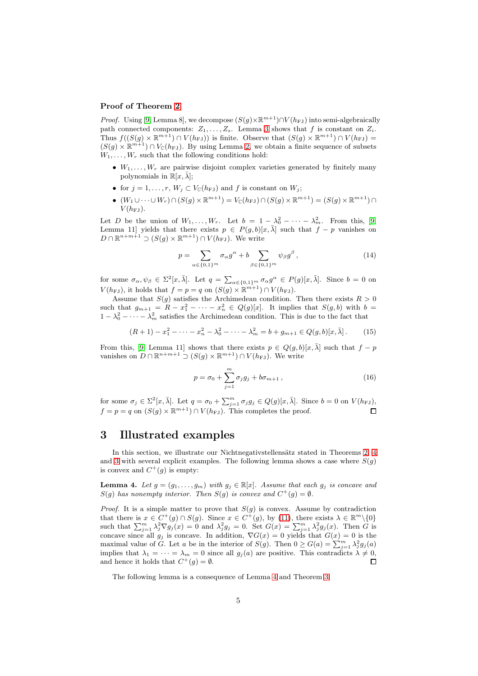#### Proof of Theorem [2](#page-2-1)

*Proof.* Using [\[9,](#page-10-6) Lemma 8], we decompose  $(S(g) \times \mathbb{R}^{m+1}) \cap V(h_{FJ})$  into semi-algebraically path connected components:  $Z_1, \ldots, Z_s$ . Lemma [3](#page-3-3) shows that f is constant on  $Z_i$ . Thus  $f((S(g) \times \mathbb{R}^{m+1}) \cap V(h_{FJ}))$  is finite. Observe that  $(S(g) \times \mathbb{R}^{m+1}) \cap V(h_{FJ}) =$  $(S(g) \times \mathbb{R}^{m+1}) \cap V_{\mathbb{C}}(h_{FJ})$ . By using Lemma [2,](#page-3-2) we obtain a finite sequence of subsets  $W_1, \ldots, W_r$  such that the following conditions hold:

- $W_1, \ldots, W_r$  are pairwise disjoint complex varieties generated by finitely many polynomials in  $\mathbb{R}[x,\lambda];$
- for  $j = 1, \ldots, r$ ,  $W_j \subset V_{\mathbb{C}}(h_{FJ})$  and f is constant on  $W_j$ ;
- $(W_1 \cup \cdots \cup W_r) \cap (S(g) \times \mathbb{R}^{m+1}) = V_{\mathbb{C}}(h_{\text{FJ}}) \cap (S(g) \times \mathbb{R}^{m+1}) = (S(g) \times \mathbb{R}^{m+1}) \cap$  $V(h_{\rm FJ}).$

Let D be the union of  $W_1, \ldots, W_r$ . Let  $b = 1 - \lambda_0^2 - \cdots - \lambda_m^2$ . From this, [\[9,](#page-10-6) Lemma 11] yields that there exists  $p \in P(g, b)[x, \overline{\lambda}]$  such that  $f - p$  vanishes on  $D \cap \mathbb{R}^{n+m+1} \supset (S(g) \times \mathbb{R}^{m+1}) \cap V(h_{FJ})$ . We write

$$
p = \sum_{\alpha \in \{0,1\}^m} \sigma_{\alpha} g^{\alpha} + b \sum_{\beta \in \{0,1\}^m} \psi_{\beta} g^{\beta}, \qquad (14)
$$

for some  $\sigma_{\alpha}, \psi_{\beta} \in \Sigma^2[x, \bar{\lambda}]$ . Let  $q = \sum_{\alpha \in \{0,1\}^m} \sigma_{\alpha} g^{\alpha} \in P(g)[x, \bar{\lambda}]$ . Since  $b = 0$  on  $V(h_{\text{FJ}})$ , it holds that  $f = p = q$  on  $(S(g) \times \mathbb{R}^{m+1}) \cap V(h_{\text{FJ}})$ .

Assume that  $S(g)$  satisfies the Archimedean condition. Then there exists  $R > 0$ such that  $g_{m+1} = R - x_1^2 - \cdots - x_n^2 \in Q(g)[x]$ . It implies that  $S(g, b)$  with  $b =$  $1 - \lambda_0^2 - \cdots - \lambda_m^2$  satisfies the Archimedean condition. This is due to the fact that

$$
(R+1) - x_1^2 - \dots - x_n^2 - \lambda_0^2 - \dots - \lambda_m^2 = b + g_{m+1} \in Q(g, b)[x, \bar{\lambda}].
$$
 (15)

From this, [\[9,](#page-10-6) Lemma 11] shows that there exists  $p \in Q(q, b)[x, \overline{\lambda}]$  such that  $f - p$ vanishes on  $D \cap \mathbb{R}^{n+m+1} \supset (S(g) \times \mathbb{R}^{m+1}) \cap V(h_{FJ})$ . We write

$$
p = \sigma_0 + \sum_{j=1}^{m} \sigma_j g_j + b \sigma_{m+1} \,, \tag{16}
$$

for some  $\sigma_j \in \Sigma^2[x, \bar{\lambda}]$ . Let  $q = \sigma_0 + \sum_{j=1}^m \sigma_j g_j \in Q(g)[x, \bar{\lambda}]$ . Since  $b = 0$  on  $V(h_{FJ})$ ,  $f = p = q$  on  $(S(g) \times \mathbb{R}^{m+1}) \cap V(h_{FJ})$ . This completes the proof.

### <span id="page-4-0"></span>3 Illustrated examples

In this section, we illustrate our Nichtnegativstellensätz stated in Theorems [2,](#page-2-1) [4](#page-3-1) and [3](#page-2-2) with several explicit examples. The following lemma shows a case where  $S(g)$ is convex and  $C^+(g)$  is empty:

<span id="page-4-1"></span>**Lemma 4.** Let  $g = (g_1, \ldots, g_m)$  with  $g_j \in \mathbb{R}[x]$ . Assume that each  $g_j$  is concave and  $S(g)$  has nonempty interior. Then  $S(g)$  is convex and  $C^+(g) = \emptyset$ .

*Proof.* It is a simple matter to prove that  $S(g)$  is convex. Assume by contradiction that there is  $x \in C^+(g) \cap S(g)$ . Since  $x \in C^+(g)$ , by [\(11\)](#page-2-4), there exists  $\lambda \in \mathbb{R}^m \setminus \{0\}$ such that  $\sum_{j=1}^m \lambda_j^2 \nabla g_j(x) = 0$  and  $\lambda_j^2 g_j = 0$ . Set  $G(x) = \sum_{j=1}^m \lambda_j^2 g_j(x)$ . Then G is concave since all  $g_j$  is concave. In addition,  $\nabla G(x) = 0$  yields that  $G(x) = 0$  is the maximal value of G. Let a be in the interior of  $S(g)$ . Then  $0 \ge G(a) = \sum_{j=1}^{m} \lambda_j^2 g_j(a)$ implies that  $\lambda_1 = \cdots = \lambda_m = 0$  since all  $g_j(a)$  are positive. This contradicts  $\lambda \neq 0$ , and hence it holds that  $C^+(g) = \emptyset$ .

The following lemma is a consequence of Lemma [4](#page-4-1) and Theorem [3:](#page-2-2)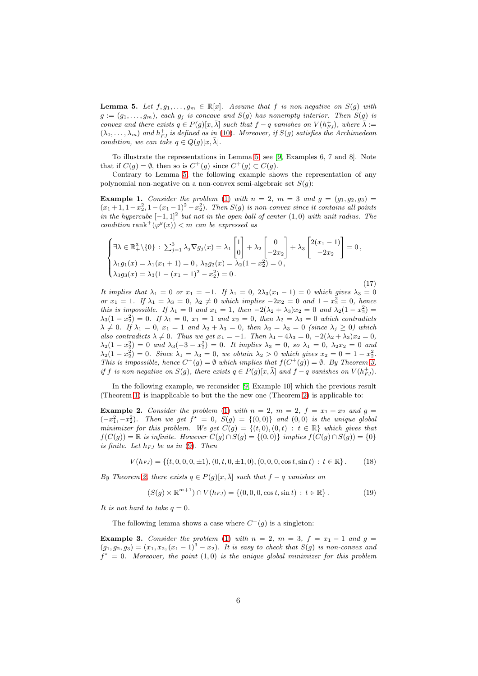<span id="page-5-0"></span>**Lemma 5.** Let  $f, g_1, \ldots, g_m \in \mathbb{R}[x]$ . Assume that f is non-negative on  $S(g)$  with  $g := (g_1, \ldots, g_m)$ , each  $g_j$  is concave and  $S(g)$  has nonempty interior. Then  $S(g)$  is convex and there exists  $q \in P(g)[x,\overline{\lambda}]$  such that  $f-q$  vanishes on  $V(h_{FJ}^+)$ , where  $\overline{\lambda} :=$  $(\lambda_0, \ldots, \lambda_m)$  and  $h_{FJ}^+$  is defined as in [\(10\)](#page-2-3). Moreover, if  $S(g)$  satisfies the Archimedean condition, we can take  $q \in Q(g)[x, \overline{\lambda}].$ 

To illustrate the representations in Lemma [5,](#page-5-0) see [\[9,](#page-10-6) Examples 6, 7 and 8]. Note that if  $C(g) = \emptyset$ , then so is  $C^+(g)$  since  $C^+(g) \subset C(g)$ .

Contrary to Lemma [5,](#page-5-0) the following example shows the representation of any polynomial non-negative on a non-convex semi-algebraic set  $S(g)$ :

<span id="page-5-1"></span>**Example 1.** Consider the problem [\(1\)](#page-1-0) with  $n = 2$ ,  $m = 3$  and  $g = (g_1, g_2, g_3)$  $(x_1+1, 1-x_2^2, 1-(x_1-1)^2-x_2^2)$ . Then  $S(g)$  is non-convex since it contains all points in the hypercube  $[-1, 1]^2$  but not in the open ball of center  $(1, 0)$  with unit radius. The condition rank<sup>+</sup> $(\varphi^g(x))$  < m can be expressed as

$$
\begin{cases} \exists \lambda \in \mathbb{R}_+^3 \setminus \{0\} : \sum_{j=1}^3 \lambda_j \nabla g_j(x) = \lambda_1 \begin{bmatrix} 1 \\ 0 \end{bmatrix} + \lambda_2 \begin{bmatrix} 0 \\ -2x_2 \end{bmatrix} + \lambda_3 \begin{bmatrix} 2(x_1 - 1) \\ -2x_2 \end{bmatrix} = 0, \\ \lambda_1 g_1(x) = \lambda_1 (x_1 + 1) = 0, \\ \lambda_3 g_3(x) = \lambda_3 (1 - (x_1 - 1)^2 - x_2^2) = 0. \end{cases}
$$

(17) It implies that  $\lambda_1 = 0$  or  $x_1 = -1$ . If  $\lambda_1 = 0$ ,  $2\lambda_3(x_1 - 1) = 0$  which gives  $\lambda_3 = 0$ or  $x_1 = 1$ . If  $\lambda_1 = \lambda_3 = 0$ ,  $\lambda_2 \neq 0$  which implies  $-2x_2 = 0$  and  $1 - x_2^2 = 0$ , hence this is impossible. If  $\lambda_1 = 0$  and  $x_1 = 1$ , then  $-2(\lambda_2 + \lambda_3)x_2 = 0$  and  $\lambda_2(1 - x_2^2) =$  $\lambda_3(1-x_2^2)=0$ . If  $\lambda_1=0$ ,  $x_1=1$  and  $x_2=0$ , then  $\lambda_2=\lambda_3=0$  which contradicts  $\lambda \neq 0$ . If  $\lambda_1 = 0$ ,  $x_1 = 1$  and  $\lambda_2 + \lambda_3 = 0$ , then  $\lambda_2 = \lambda_3 = 0$  (since  $\lambda_j \geq 0$ ) which also contradicts  $\lambda \neq 0$ . Thus we get  $x_1 = -1$ . Then  $\lambda_1 - 4\lambda_3 = 0$ ,  $-2(\lambda_2 + \lambda_3)x_2 = 0$ ,  $\lambda_2(1-x_2^2) = 0$  and  $\lambda_3(-3-x_2^2) = 0$ . It implies  $\lambda_3 = 0$ , so  $\lambda_1 = 0$ ,  $\lambda_2 x_2 = 0$  and  $\lambda_2(1-x_2^2)=0$ . Since  $\lambda_1=\lambda_3=0$ , we obtain  $\lambda_2>0$  which gives  $x_2=0=1-x_2^2$ . This is impossible, hence  $C^+(g) = \emptyset$  which implies that  $f(C^+(g)) = \emptyset$ . By Theorem [3,](#page-2-2) if f is non-negative on  $S(g)$ , there exists  $q \in P(g)[x,\overline{\lambda}]$  and  $f - q$  vanishes on  $V(h_{FJ}^+)$ .

In the following example, we reconsider [\[9,](#page-10-6) Example 10] which the previous result (Theorem [1\)](#page-2-5) is inapplicable to but the the new one (Theorem [2\)](#page-2-1) is applicable to:

**Example 2.** Consider the problem [\(1\)](#page-1-0) with  $n = 2$ ,  $m = 2$ ,  $f = x_1 + x_2$  and  $g =$  $(-x_1^2, -x_2^2)$ . Then we get  $f^* = 0$ ,  $S(g) = \{(0, 0)\}$  and  $(0, 0)$  is the unique global minimizer for this problem. We get  $C(g) = \{(t, 0), (0, t) : t \in \mathbb{R}\}\$  which gives that  $f(C(g)) = \mathbb{R}$  is infinite. However  $C(g) \cap S(g) = \{(0,0)\}\$ implies  $f(C(g) \cap S(g)) = \{0\}$ is finite. Let  $h_{FJ}$  be as in [\(9\)](#page-2-0). Then

 $V(h_{FJ}) = \{(t, 0, 0, 0, \pm 1), (0, t, 0, \pm 1, 0), (0, 0, 0, \cos t, \sin t) : t \in \mathbb{R}\}.$  (18)

By Theorem [2,](#page-2-1) there exists  $q \in P(g)[x, \bar{\lambda}]$  such that  $f - q$  vanishes on

$$
(S(g) \times \mathbb{R}^{m+1}) \cap V(h_{FJ}) = \{ (0, 0, 0, \cos t, \sin t) : t \in \mathbb{R} \}.
$$
 (19)

It is not hard to take  $q=0$ .

The following lemma shows a case where  $C^+(g)$  is a singleton:

<span id="page-5-2"></span>Example 3. Consider the problem [\(1\)](#page-1-0) with  $n = 2$ ,  $m = 3$ ,  $f = x_1 - 1$  and  $g =$  $(g_1, g_2, g_3) = (x_1, x_2, (x_1 - 1)^3 - x_2)$ . It is easy to check that  $S(g)$  is non-convex and  $f^* = 0$ . Moreover, the point  $(1,0)$  is the unique global minimizer for this problem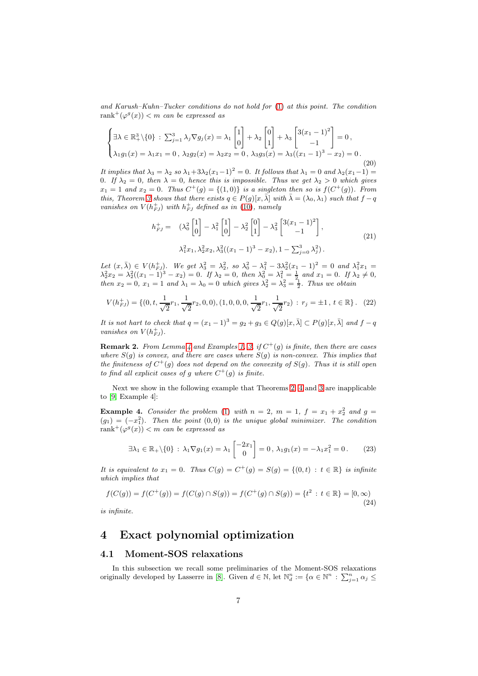and Karush–Kuhn–Tucker conditions do not hold for [\(1\)](#page-1-0) at this point. The condition rank<sup>+</sup>( $\varphi^{g}(x)$ )  $< m$  can be expressed as

$$
\begin{cases} \exists \lambda \in \mathbb{R}_+^3 \setminus \{0\} : \sum_{j=1}^3 \lambda_j \nabla g_j(x) = \lambda_1 \begin{bmatrix} 1 \\ 0 \end{bmatrix} + \lambda_2 \begin{bmatrix} 0 \\ 1 \end{bmatrix} + \lambda_3 \begin{bmatrix} 3(x_1 - 1)^2 \\ -1 \end{bmatrix} = 0, \\ \lambda_1 g_1(x) = \lambda_1 x_1 = 0, \ \lambda_2 g_2(x) = \lambda_2 x_2 = 0, \ \lambda_3 g_3(x) = \lambda_3 ((x_1 - 1)^3 - x_2) = 0. \end{cases}
$$
(20)

It implies that  $\lambda_3 = \lambda_2$  so  $\lambda_1 + 3\lambda_2(x_1-1)^2 = 0$ . It follows that  $\lambda_1 = 0$  and  $\lambda_2(x_1-1) =$ 0. If  $\lambda_2 = 0$ , then  $\lambda = 0$ , hence this is impossible. Thus we get  $\lambda_2 > 0$  which gives  $x_1 = 1$  and  $x_2 = 0$ . Thus  $C^+(g) = \{(1,0)\}\$ is a singleton then so is  $f(C^+(g))$ . From this, Theorem [3](#page-2-2) shows that there exists  $q \in P(g)[x, \bar{\lambda}]$  with  $\bar{\lambda} = (\lambda_0, \lambda_1)$  such that  $f - q$ vanishes on  $V(h_{FJ}^+)$  with  $h_{FJ}^+$  defined as in [\(10\)](#page-2-3), namely

$$
h_{FJ}^{+} = (\lambda_0^2 \begin{bmatrix} 1 \\ 0 \end{bmatrix} - \lambda_1^2 \begin{bmatrix} 1 \\ 0 \end{bmatrix} - \lambda_2^2 \begin{bmatrix} 0 \\ 1 \end{bmatrix} - \lambda_3^2 \begin{bmatrix} 3(x_1 - 1)^2 \\ -1 \end{bmatrix},
$$
  

$$
\lambda_1^2 x_1, \lambda_2^2 x_2, \lambda_3^2 ((x_1 - 1)^3 - x_2), 1 - \sum_{j=0}^3 \lambda_j^2).
$$
 (21)

Let  $(x, \bar{\lambda}) \in V(h_{FJ}^+)$ . We get  $\lambda_3^2 = \lambda_2^2$ , so  $\lambda_0^2 - \lambda_1^2 - 3\lambda_2^2(x_1 - 1)^2 = 0$  and  $\lambda_1^2 x_1 =$  $\lambda_2^2 x_2 = \lambda_2^2 ((x_1 - 1)^3 - x_2) = 0$ . If  $\lambda_2 = 0$ , then  $\lambda_0^2 = \lambda_1^2 = \frac{1}{2}$  and  $x_1 = 0$ . If  $\lambda_2 \neq 0$ , then  $x_2 = 0$ ,  $x_1 = 1$  and  $\lambda_1 = \lambda_0 = 0$  which gives  $\lambda_2^2 = \lambda_3^2 = \frac{1}{2}$ . Thus we obtain

$$
V(h_{FJ}^+) = \{ (0, t, \frac{1}{\sqrt{2}}r_1, \frac{1}{\sqrt{2}}r_2, 0, 0), (1, 0, 0, 0, \frac{1}{\sqrt{2}}r_1, \frac{1}{\sqrt{2}}r_2) : r_j = \pm 1, t \in \mathbb{R} \}. (22)
$$

It is not hart to check that  $q = (x_1 - 1)^3 = q_2 + q_3 \in Q(q)[x, \bar{\lambda}] \subset P(q)[x, \bar{\lambda}]$  and  $f - q$ vanishes on  $V(h_{FJ}^+)$ .

**Remark 2.** From Lemma [4](#page-4-1) and Examples [1,](#page-5-1) [3,](#page-5-2) if  $C^+(g)$  is finite, then there are cases where  $S(g)$  is convex, and there are cases where  $S(g)$  is non-convex. This implies that the finiteness of  $C^+(g)$  does not depend on the convexity of  $S(g)$ . Thus it is still open to find all explicit cases of g where  $C^+(g)$  is finite.

Next we show in the following example that Theorems [2,](#page-2-1) [4](#page-3-1) and [3](#page-2-2) are inapplicable to [\[9,](#page-10-6) Example 4]:

**Example 4.** Consider the problem [\(1\)](#page-1-0) with  $n = 2$ ,  $m = 1$ ,  $f = x_1 + x_2^2$  and  $g =$  $(g_1) = (-x_1^2)$ . Then the point  $(0,0)$  is the unique global minimizer. The condition  $rank^+(\varphi^g(x)) < m$  can be expressed as

$$
\exists \lambda_1 \in \mathbb{R}_+ \setminus \{0\} : \lambda_1 \nabla g_1(x) = \lambda_1 \begin{bmatrix} -2x_1 \\ 0 \end{bmatrix} = 0, \lambda_1 g_1(x) = -\lambda_1 x_1^2 = 0. \tag{23}
$$

It is equivalent to  $x_1 = 0$ . Thus  $C(g) = C^+(g) = S(g) = \{(0, t) : t \in \mathbb{R}\}\$ is infinite which implies that

$$
f(C(g)) = f(C^+(g)) = f(C(g) \cap S(g)) = f(C^+(g) \cap S(g)) = \{t^2 : t \in \mathbb{R}\} = [0, \infty)
$$
\n(24)

is infinite.

## <span id="page-6-0"></span>4 Exact polynomial optimization

#### <span id="page-6-1"></span>4.1 Moment-SOS relaxations

In this subsection we recall some preliminaries of the Moment-SOS relaxations originally developed by Lasserre in [\[8\]](#page-10-3). Given  $d \in \mathbb{N}$ , let  $\mathbb{N}_d^n := \{ \alpha \in \mathbb{N}^n : \sum_{j=1}^n \alpha_j \leq$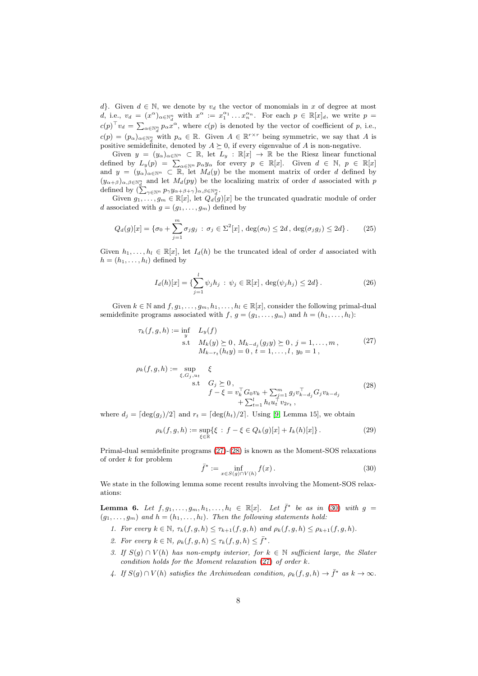d}. Given  $d \in \mathbb{N}$ , we denote by  $v_d$  the vector of monomials in x of degree at most d, i.e.,  $v_d = (x^{\alpha})_{\alpha \in \mathbb{N}_d^n}$  with  $x^{\alpha} := x_1^{\alpha_1} \dots x_n^{\alpha_n}$ . For each  $p \in \mathbb{R}[x]_d$ , we write  $p =$  $c(p)^\top v_d = \sum_{\alpha \in \mathbb{N}_d^n} p_\alpha x^\alpha$ , where  $c(p)$  is denoted by the vector of coefficient of p, i.e.,  $c(p) = (p_{\alpha})_{\alpha \in \mathbb{N}_d^n}$  with  $p_{\alpha} \in \mathbb{R}$ . Given  $A \in \mathbb{R}^{r \times r}$  being symmetric, we say that A is positive semidefinite, denoted by  $A \succeq 0$ , if every eigenvalue of A is non-negative.

Given  $y = (y_\alpha)_{\alpha \in \mathbb{N}^n} \subset \mathbb{R}$ , let  $L_y : \mathbb{R}[x] \to \mathbb{R}$  be the Riesz linear functional defined by  $L_y(p) = \sum_{\alpha \in \mathbb{N}^n} p_{\alpha} y_{\alpha}$  for every  $p \in \mathbb{R}[x]$ . Given  $d \in \mathbb{N}$ ,  $p \in \mathbb{R}[x]$ and  $y = (y_\alpha)_{\alpha \in \mathbb{N}^n} \subset \mathbb{R}$ , let  $M_d(y)$  be the moment matrix of order d defined by  $(y_{\alpha+\beta})_{\alpha,\beta\in\mathbb{N}_{d}^{n}}$  and let  $M_{d}(py)$  be the localizing matrix of order d associated with p defined by  $\left(\sum_{\gamma \in \mathbb{N}^n} p_{\gamma} y_{\alpha+\beta+\gamma}\right)_{\alpha,\beta \in \mathbb{N}_d^n}$ .

 $\lim_{m \to \infty} \frac{d}{dx} \left( \sum_{j \in \mathbb{N}} \sum_{i=1}^m f(x_i, y_i) \right)$  for  $d(x_i, y_i)$  be the truncated quadratic module of order d associated with  $g = (g_1, \ldots, g_m)$  defined by

$$
Q_d(g)[x] = \{\sigma_0 + \sum_{j=1}^m \sigma_j g_j : \sigma_j \in \Sigma^2[x], \deg(\sigma_0) \le 2d, \deg(\sigma_j g_j) \le 2d\}.
$$
 (25)

Given  $h_1, \ldots, h_l \in \mathbb{R}[x]$ , let  $I_d(h)$  be the truncated ideal of order d associated with  $h = (h_1, \ldots, h_l)$  defined by

<span id="page-7-0"></span>
$$
I_d(h)[x] = \{ \sum_{j=1}^l \psi_j h_j \, : \, \psi_j \in \mathbb{R}[x], \, \deg(\psi_j h_j) \le 2d \}.
$$
 (26)

Given  $k \in \mathbb{N}$  and  $f, g_1, \ldots, g_m, h_1, \ldots, h_l \in \mathbb{R}[x]$ , consider the following primal-dual semidefinite programs associated with f,  $q = (q_1, \ldots, q_m)$  and  $h = (h_1, \ldots, h_l)$ :

$$
\tau_k(f, g, h) := \inf_{y} L_y(f) \n\text{s.t } M_k(y) \succeq 0, M_{k-d_j}(g_j y) \succeq 0, j = 1, ..., m, \nM_{k-r_t}(h_t y) = 0, t = 1, ..., l, y_0 = 1,
$$
\n(27)

<span id="page-7-1"></span>
$$
\rho_k(f, g, h) := \sup_{\xi, G_j, u_t} \xi
$$
  
s.t  $G_j \ge 0$ ,  

$$
f - \xi = v_k^{\top} G_0 v_k + \sum_{j=1}^m g_j v_{k-d_j}^{\top} G_j v_{k-d_j} + \sum_{t=1}^l h_t u_t^{\top} v_{2rt}
$$
, (28)

where  $d_i = \lceil \deg(q_i)/2 \rceil$  and  $r_t = \lceil \deg(h_t)/2 \rceil$ . Using [\[9,](#page-10-6) Lemma 15], we obtain

$$
\rho_k(f, g, h) := \sup_{\xi \in \mathbb{R}} \{ \xi : f - \xi \in Q_k(g)[x] + I_k(h)[x] \}.
$$
 (29)

Primal-dual semidefinite programs [\(27\)](#page-7-0)-[\(28\)](#page-7-1) is known as the Moment-SOS relaxations of order k for problem

<span id="page-7-3"></span><span id="page-7-2"></span>
$$
\bar{f}^{\star} := \inf_{x \in S(g) \cap V(h)} f(x).
$$
\n(30)

We state in the following lemma some recent results involving the Moment-SOS relaxations:

<span id="page-7-4"></span>**Lemma 6.** Let  $f, g_1, \ldots, g_m, h_1, \ldots, h_l \in \mathbb{R}[x]$ . Let  $\bar{f}^*$  be as in [\(30\)](#page-7-2) with  $g =$  $(g_1, \ldots, g_m)$  and  $h = (h_1, \ldots, h_l)$ . Then the following statements hold:

- 1. For every  $k \in \mathbb{N}$ ,  $\tau_k(f, g, h) \leq \tau_{k+1}(f, g, h)$  and  $\rho_k(f, g, h) \leq \rho_{k+1}(f, g, h)$ .
- 2. For every  $k \in \mathbb{N}$ ,  $\rho_k(f, g, h) \leq \tau_k(f, g, h) \leq \overline{f}^{\star}$ .
- 3. If  $S(q) \cap V(h)$  has non-empty interior, for  $k \in \mathbb{N}$  sufficient large, the Slater condition holds for the Moment relaxation [\(27\)](#page-7-0) of order k.
- 4. If  $S(g) \cap V(h)$  satisfies the Archimedean condition,  $\rho_k(f, g, h) \to \bar{f}^*$  as  $k \to \infty$ .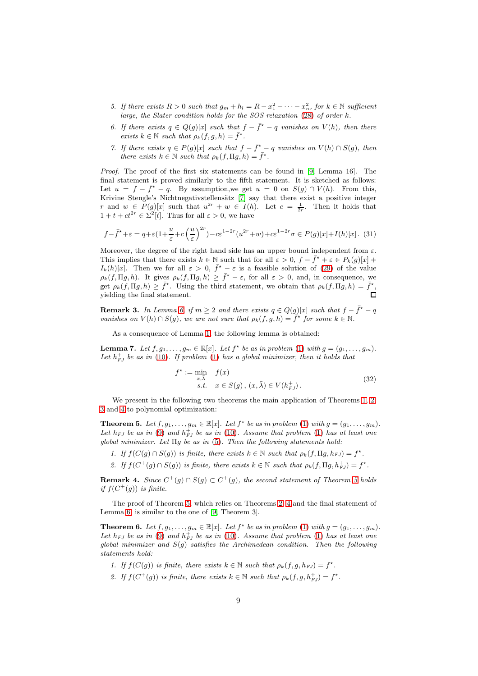- 5. If there exists  $R > 0$  such that  $g_m + h_l = R x_1^2 \cdots x_n^2$ , for  $k \in \mathbb{N}$  sufficient large, the Slater condition holds for the SOS relaxation [\(28\)](#page-7-1) of order k.
- 6. If there exists  $q \in Q(g)[x]$  such that  $f \overline{f^*} q$  vanishes on  $V(h)$ , then there exists  $k \in \mathbb{N}$  such that  $\rho_k(f, g, h) = \overline{f}^*$ .
- 7. If there exists  $q \in P(g)[x]$  such that  $f \overline{f}^* q$  vanishes on  $V(h) \cap S(g)$ , then there exists  $k \in \mathbb{N}$  such that  $\rho_k(f, \Pi g, h) = \bar{f}^*$ .

Proof. The proof of the first six statements can be found in [\[9,](#page-10-6) Lemma 16]. The final statement is proved similarly to the fifth statement. It is sketched as follows: Let  $u = f - \overline{f^*} - q$ . By assumption, we get  $u = 0$  on  $S(g) \cap V(h)$ . From this, Krivine–Stengle's Nichtnegativstellensätz [\[7\]](#page-10-2) say that there exist a positive integer r and  $w \in P(g)[x]$  such that  $u^{2r} + w \in I(h)$ . Let  $c = \frac{1}{2r}$ . Then it holds that  $1 + t + ct^{2r} \in \Sigma^2[t]$ . Thus for all  $\varepsilon > 0$ , we have

$$
f - \bar{f}^* + \varepsilon = q + \varepsilon \left(1 + \frac{u}{\varepsilon} + c\left(\frac{u}{\varepsilon}\right)^{2r}\right) - c\varepsilon^{1 - 2r} (u^{2r} + w) + c\varepsilon^{1 - 2r} \sigma \in P(g)[x] + I(h)[x]. \tag{31}
$$

Moreover, the degree of the right hand side has an upper bound independent from  $\varepsilon$ . This implies that there exists  $k \in \mathbb{N}$  such that for all  $\varepsilon > 0$ ,  $f - \bar{f}^* + \varepsilon \in P_k(g)[x] +$  $I_k(h)[x]$ . Then we for all  $\varepsilon > 0$ ,  $\bar{f}^* - \varepsilon$  is a feasible solution of [\(29\)](#page-7-3) of the value  $\rho_k(f, \Pi g, h)$ . It gives  $\rho_k(f, \Pi g, h) \geq \bar{f}^* - \varepsilon$ , for all  $\varepsilon > 0$ , and, in consequence, we get  $\rho_k(f, \Pi g, h) \geq \bar{f}^{\star}$ . Using the third statement, we obtain that  $\rho_k(f, \Pi g, h) = \bar{f}^{\star}$ , yielding the final statement.

**Remark 3.** In Lemma [6,](#page-7-4) if  $m \geq 2$  and there exists  $q \in Q(g)[x]$  such that  $f - \overline{f}^* - q$ vanishes on  $V(h) \cap S(g)$ , we are not sure that  $\rho_k(f, g, h) = \tilde{f}^{\star}$  for some  $k \in \mathbb{N}$ .

As a consequence of Lemma [1,](#page-1-1) the following lemma is obtained:

**Lemma 7.** Let  $f, g_1, \ldots, g_m \in \mathbb{R}[x]$ . Let  $f^*$  be as in problem [\(1\)](#page-1-0) with  $g = (g_1, \ldots, g_m)$ . Let  $h_{FJ}^+$  be as in [\(10\)](#page-2-3). If problem [\(1\)](#page-1-0) has a global minimizer, then it holds that

$$
f^* := \min_{x,\bar{\lambda}} f(x)
$$
  
s.t.  $x \in S(g), (x, \bar{\lambda}) \in V(h_{FJ}^+).$  (32)

We present in the following two theorems the main application of Theorems [1,](#page-2-5) [2,](#page-2-1) [3](#page-2-2) and [4](#page-3-1) to polynomial optimization:

<span id="page-8-0"></span>**Theorem 5.** Let  $f, g_1, \ldots, g_m \in \mathbb{R}[x]$ . Let  $f^*$  be as in problem [\(1\)](#page-1-0) with  $g = (g_1, \ldots, g_m)$ . Let  $h_{FJ}$  be as in [\(9\)](#page-2-0) and  $h_{FJ}^+$  be as in [\(10\)](#page-2-3). Assume that problem [\(1\)](#page-1-0) has at least one global minimizer. Let  $\Pi$ q be as in [\(5\)](#page-1-2). Then the following statements hold:

- 1. If  $f(C(g) \cap S(g))$  is finite, there exists  $k \in \mathbb{N}$  such that  $\rho_k(f, \Pi g, h_{FJ}) = f^*$ .
- 2. If  $f(C^+(g) \cap S(g))$  is finite, there exists  $k \in \mathbb{N}$  such that  $\rho_k(f, \Pi g, h_{FJ}^+) = f^*$ .

**Remark 4.** Since  $C^+(g) \cap S(g) \subset C^+(g)$ , the second statement of Theorem [5](#page-8-0) holds if  $f(C^+(g))$  is finite.

The proof of Theorem [5,](#page-8-0) which relies on Theorems [2,](#page-2-1) [4](#page-3-1) and the final statement of Lemma [6,](#page-7-4) is similar to the one of [\[9,](#page-10-6) Theorem 3].

<span id="page-8-1"></span>**Theorem 6.** Let  $f, g_1, \ldots, g_m \in \mathbb{R}[x]$ . Let  $f^*$  be as in problem [\(1\)](#page-1-0) with  $g = (g_1, \ldots, g_m)$ . Let  $h_{FJ}$  be as in [\(9\)](#page-2-0) and  $h_{FJ}^+$  be as in [\(10\)](#page-2-3). Assume that problem [\(1\)](#page-1-0) has at least one global minimizer and  $S(g)$  satisfies the Archimedean condition. Then the following statements hold:

1. If  $f(C(g))$  is finite, there exists  $k \in \mathbb{N}$  such that  $\rho_k(f, g, h_{FJ}) = f^*$ .

2. If  $f(C^+(g))$  is finite, there exists  $k \in \mathbb{N}$  such that  $\rho_k(f, g, h_{FJ}^+) = f^*$ .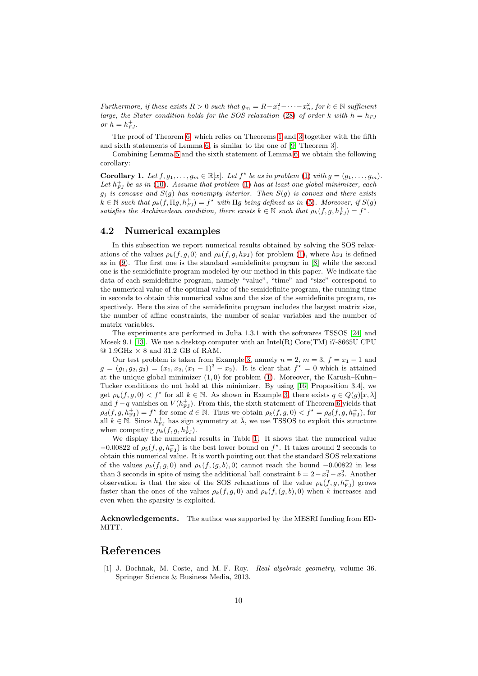Furthermore, if these exists  $R > 0$  such that  $g_m = R - x_1^2 - \cdots - x_n^2$ , for  $k \in \mathbb{N}$  sufficient large, the Slater condition holds for the SOS relaxation [\(28\)](#page-7-1) of order k with  $h = h_{FJ}$ or  $h = h_{FJ}^+$ .

The proof of Theorem [6,](#page-8-1) which relies on Theorems [1](#page-2-5) and [3](#page-2-2) together with the fifth and sixth statements of Lemma [6,](#page-7-4) is similar to the one of [\[9,](#page-10-6) Theorem 3].

Combining Lemma [5](#page-5-0) and the sixth statement of Lemma [6,](#page-7-4) we obtain the following corollary:

**Corollary 1.** Let  $f, g_1, \ldots, g_m \in \mathbb{R}[x]$ . Let  $f^*$  be as in problem [\(1\)](#page-1-0) with  $g = (g_1, \ldots, g_m)$ . Let  $h_{FJ}^+$  be as in [\(10\)](#page-2-3). Assume that problem [\(1\)](#page-1-0) has at least one global minimizer, each  $g_j$  is concave and  $S(g)$  has nonempty interior. Then  $S(g)$  is convex and there exists  $k \in \mathbb{N}$  such that  $\rho_k(f, \Pi g, h_{FJ}^+) = f^*$  with  $\Pi g$  being defined as in [\(5\)](#page-1-2). Moreover, if  $S(g)$ satisfies the Archimedean condition, there exists  $k \in \mathbb{N}$  such that  $\rho_k(f, g, h_{FJ}^+) = f^*$ .

#### <span id="page-9-0"></span>4.2 Numerical examples

In this subsection we report numerical results obtained by solving the SOS relaxations of the values  $\rho_k(f, g, 0)$  and  $\rho_k(f, g, h_{FJ})$  for problem [\(1\)](#page-1-0), where  $h_{FJ}$  is defined as in [\(9\)](#page-2-0). The first one is the standard semidefinite program in [\[8\]](#page-10-3) while the second one is the semidefinite program modeled by our method in this paper. We indicate the data of each semidefinite program, namely "value", "time" and "size" correspond to the numerical value of the optimal value of the semidefinite program, the running time in seconds to obtain this numerical value and the size of the semidefinite program, respectively. Here the size of the semidefinite program includes the largest matrix size, the number of affine constraints, the number of scalar variables and the number of matrix variables.

The experiments are performed in Julia 1.3.1 with the softwares TSSOS [\[24\]](#page-11-5) and Mosek 9.1 [\[13\]](#page-10-7). We use a desktop computer with an  $Intel(R)$  Core(TM) i7-8665U CPU  $@ 1.9 \text{GHz} \times 8 \text{ and } 31.2 \text{ GB of RAM}.$ 

Our test problem is taken from Example [3,](#page-5-2) namely  $n = 2$ ,  $m = 3$ ,  $f = x_1 - 1$  and  $g = (g_1, g_2, g_3) = (x_1, x_2, (x_1 - 1)^3 - x_2)$ . It is clear that  $f^* = 0$  which is attained at the unique global minimizer  $(1, 0)$  for problem  $(1)$ . Moreover, the Karush–Kuhn– Tucker conditions do not hold at this minimizer. By using [\[16,](#page-11-0) Proposition 3.4], we get  $\rho_k(f, g, 0) < f^*$  for all  $k \in \mathbb{N}$ . As shown in Example [3,](#page-5-2) there exists  $q \in Q(g)[x, \overline{\lambda}]$ and  $f - q$  vanishes on  $V(h_{\text{FJ}}^+)$ . From this, the sixth statement of Theorem [6](#page-7-4) yields that  $\rho_d(f,g,h_{\text{FJ}}^+) = f^*$  for some  $d \in \mathbb{N}$ . Thus we obtain  $\rho_k(f,g,0) < f^* = \rho_d(f,g,h_{\text{FJ}}^+)$ , for all  $k \in \mathbb{N}$ . Since  $h_{\text{FJ}}^+$  has sign symmetry at  $\overline{\lambda}$ , we use TSSOS to exploit this structure when computing  $\rho_k(f, g, h_{\text{FJ}}^{\dagger}).$ 

We display the numerical results in Table [1.](#page-10-8) It shows that the numerical value −0.00822 of  $\rho_5(f, g, h_{\text{FJ}}^+)$  is the best lower bound on  $f^*$ . It takes around 2 seconds to obtain this numerical value. It is worth pointing out that the standard SOS relaxations of the values  $\rho_k(f, g, 0)$  and  $\rho_k(f, (g, b), 0)$  cannot reach the bound  $-0.00822$  in less than 3 seconds in spite of using the additional ball constraint  $b = 2 - x_1^2 - x_2^2$ . Another observation is that the size of the SOS relaxations of the value  $\rho_k(f, g, h_{\rm FJ}^+)$  grows faster than the ones of the values  $\rho_k(f,g,0)$  and  $\rho_k(f,(g,b),0)$  when k increases and even when the sparsity is exploited.

Acknowledgements. The author was supported by the MESRI funding from ED-MITT.

### References

[1] J. Bochnak, M. Coste, and M.-F. Roy. Real algebraic geometry, volume 36. Springer Science & Business Media, 2013.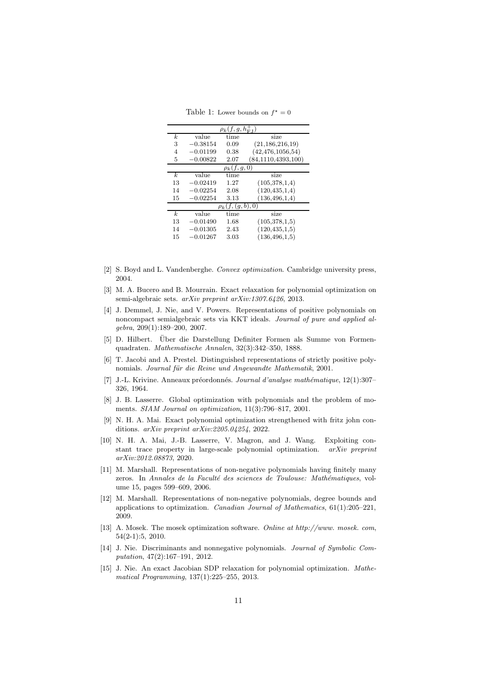<span id="page-10-8"></span>Table 1: Lower bounds on  $f^* = 0$ 

| $\rho_k(f,g,h_{{\rm FJ}}^+)$ |            |      |                       |  |  |  |
|------------------------------|------------|------|-----------------------|--|--|--|
| k.                           | value      | time | size                  |  |  |  |
| 3                            | $-0.38154$ | 0.09 | (21, 186, 216, 19)    |  |  |  |
| $\overline{4}$               | $-0.01199$ | 0.38 | (42, 476, 1056, 54)   |  |  |  |
| 5                            | $-0.00822$ | 2.07 | (84, 1110, 4393, 100) |  |  |  |
| $\rho_k(f,g,0)$              |            |      |                       |  |  |  |
| k.                           | value      | time | size                  |  |  |  |
| 13                           | $-0.02419$ | 1.27 | (105, 378, 1, 4)      |  |  |  |
| 14                           | $-0.02254$ | 2.08 | (120, 435, 1, 4)      |  |  |  |
| 15                           | $-0.02254$ | 3.13 | (136, 496, 1, 4)      |  |  |  |
| (b), 0)<br>$\rho_k(f, (g,$   |            |      |                       |  |  |  |
| k.                           | value      | time | size                  |  |  |  |
| 13                           | $-0.01490$ | 1.68 | (105, 378, 1.5)       |  |  |  |
| 14                           | $-0.01305$ | 2.43 | (120, 435, 1, 5)      |  |  |  |
| 15                           | 0.01267    | 3.03 | (136, 496, 1.5)       |  |  |  |

- [2] S. Boyd and L. Vandenberghe. Convex optimization. Cambridge university press, 2004.
- [3] M. A. Bucero and B. Mourrain. Exact relaxation for polynomial optimization on semi-algebraic sets. arXiv preprint arXiv:1307.6426, 2013.
- <span id="page-10-0"></span>[4] J. Demmel, J. Nie, and V. Powers. Representations of positive polynomials on noncompact semialgebraic sets via KKT ideals. Journal of pure and applied algebra, 209(1):189–200, 2007.
- <span id="page-10-1"></span>[5] D. Hilbert. Uber die Darstellung Definiter Formen als Summe von Formen- ¨ quadraten. Mathematische Annalen, 32(3):342–350, 1888.
- [6] T. Jacobi and A. Prestel. Distinguished representations of strictly positive polynomials. Journal für die Reine und Angewandte Mathematik, 2001.
- <span id="page-10-2"></span>[7] J.-L. Krivine. Anneaux préordonnés. Journal d'analyse mathématique, 12(1):307– 326, 1964.
- <span id="page-10-3"></span>[8] J. B. Lasserre. Global optimization with polynomials and the problem of moments. SIAM Journal on optimization, 11(3):796–817, 2001.
- <span id="page-10-6"></span>[9] N. H. A. Mai. Exact polynomial optimization strengthened with fritz john conditions. arXiv preprint arXiv:2205.04254, 2022.
- [10] N. H. A. Mai, J.-B. Lasserre, V. Magron, and J. Wang. Exploiting constant trace property in large-scale polynomial optimization. arXiv preprint arXiv:2012.08873, 2020.
- <span id="page-10-4"></span>[11] M. Marshall. Representations of non-negative polynomials having finitely many zeros. In Annales de la Faculté des sciences de Toulouse: Mathématiques, volume 15, pages 599–609, 2006.
- <span id="page-10-5"></span>[12] M. Marshall. Representations of non-negative polynomials, degree bounds and applications to optimization. *Canadian Journal of Mathematics*,  $61(1):205-221$ , 2009.
- <span id="page-10-7"></span>[13] A. Mosek. The mosek optimization software. Online at http://www. mosek. com, 54(2-1):5, 2010.
- [14] J. Nie. Discriminants and nonnegative polynomials. Journal of Symbolic Computation, 47(2):167–191, 2012.
- [15] J. Nie. An exact Jacobian SDP relaxation for polynomial optimization. Mathematical Programming, 137(1):225–255, 2013.